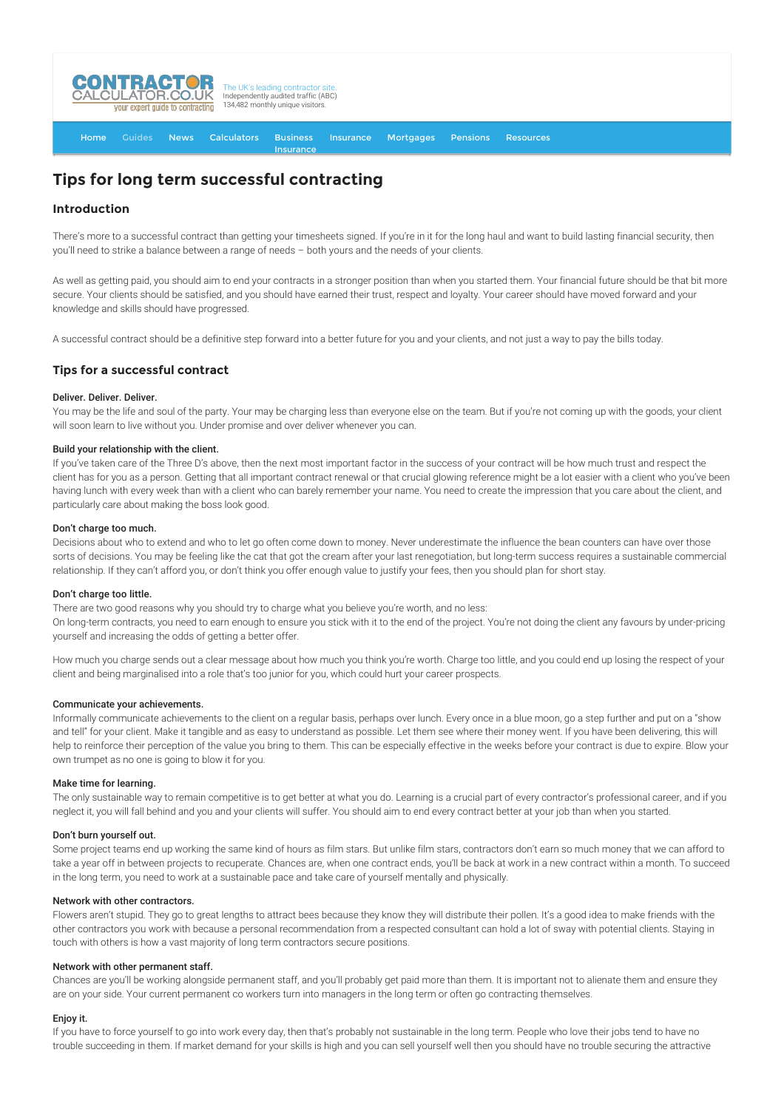

[Home](http://www.contractorcalculator.co.uk/) [Guides](http://www.contractorcalculator.co.uk/Articles.aspx) [News](http://www.contractorcalculator.co.uk/Contractor_News.aspx) [Calculators](http://www.contractorcalculator.co.uk/Calculators.aspx) Business Insurance [Insurance](http://www.contractorcalculator.co.uk/Contractor_Insurances.aspx) [Mortgages](http://www.contractorcalculator.co.uk/Contractor_Mortgages.aspx) [Pensions](http://www.contractorcalculator.co.uk/Contractor_Pensions.aspx) [Resources](http://www.contractorcalculator.co.uk/Contractor_Resources.aspx)

# **Tips for long term successful contracting**

# **Introduction**

There's more to a successful contract than getting your timesheets signed. If you're in it for the long haul and want to build lasting financial security, then you'll need to strike a balance between a range of needs – both yours and the needs of your clients.

As well as getting paid, you should aim to end your contracts in a stronger position than when you started them. Your financial future should be that bit more secure. Your clients should be satisfied, and you should have earned their trust, respect and loyalty. Your career should have moved forward and your knowledge and skills should have progressed.

A successful contract should be a definitive step forward into a better future for you and your clients, and not just a way to pay the bills today.

# **Tips for a successful contract**

# Deliver. Deliver. Deliver.

You may be the life and soul of the party. Your may be charging less than everyone else on the team. But if you're not coming up with the goods, your client will soon learn to live without you. Under promise and over deliver whenever you can.

## Build your relationship with the client.

If you've taken care of the Three D's above, then the next most important factor in the success of your contract will be how much trust and respect the client has for you as a person. Getting that all important contract renewal or that crucial glowing reference might be a lot easier with a client who you've been having lunch with every week than with a client who can barely remember your name. You need to create the impression that you care about the client, and particularly care about making the boss look good.

## Don't charge too much.

Decisions about who to extend and who to let go often come down to money. Never underestimate the influence the bean counters can have over those sorts of decisions. You may be feeling like the cat that got the cream after your last renegotiation, but long-term success requires a sustainable commercial relationship. If they can't afford you, or don't think you offer enough value to justify your fees, then you should plan for short stay.

#### Don't charge too little.

There are two good reasons why you should try to charge what you believe you're worth, and no less:

On long-term contracts, you need to earn enough to ensure you stick with it to the end of the project. You're not doing the client any favours by under-pricing yourself and increasing the odds of getting a better offer.

How much you charge sends out a clear message about how much you think you're worth. Charge too little, and you could end up losing the respect of your client and being marginalised into a role that's too junior for you, which could hurt your career prospects.

#### Communicate your achievements.

Informally communicate achievements to the client on a regular basis, perhaps over lunch. Every once in a blue moon, go a step further and put on a "show and tell" for your client. Make it tangible and as easy to understand as possible. Let them see where their money went. If you have been delivering, this will help to reinforce their perception of the value you bring to them. This can be especially effective in the weeks before your contract is due to expire. Blow your own trumpet as no one is going to blow it for you.

#### Make time for learning.

The only sustainable way to remain competitive is to get better at what you do. Learning is a crucial part of every contractor's professional career, and if you neglect it, you will fall behind and you and your clients will suffer. You should aim to end every contract better at your job than when you started.

#### Don't burn yourself out.

Some project teams end up working the same kind of hours as film stars. But unlike film stars, contractors don't earn so much money that we can afford to take a year off in between projects to recuperate. Chances are, when one contract ends, you'll be back at work in a new contract within a month. To succeed in the long term, you need to work at a sustainable pace and take care of yourself mentally and physically.

### Network with other contractors.

Flowers aren't stupid. They go to great lengths to attract bees because they know they will distribute their pollen. It's a good idea to make friends with the other contractors you work with because a personal recommendation from a respected consultant can hold a lot of sway with potential clients. Staying in touch with others is how a vast majority of long term contractors secure positions.

#### Network with other permanent staff.

Chances are you'll be working alongside permanent staff, and you'll probably get paid more than them. It is important not to alienate them and ensure they are on your side. Your current permanent co workers turn into managers in the long term or often go contracting themselves.

#### Enjoy it.

If you have to force yourself to go into work every day, then that's probably not sustainable in the long term. People who love their jobs tend to have no trouble succeeding in them. If market demand for your skills is high and you can sell yourself well then you should have no trouble securing the attractive